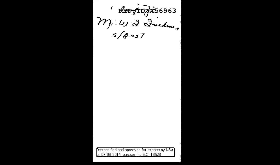ET POPRÍS6963

Declassified and approved for release by NSA on 07-08-2014 pursuant to E.O. 13526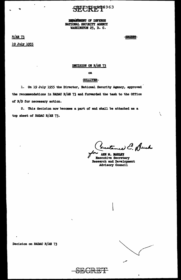# **PPPXT6963**

DISPARTMENT OF DEFENSE NATIONAL SECURITY AGENCY WASHINGTON 25, D. C.

**R/AB 73** 19 July 1955

 $\bullet$ 

**-SECRET-**

Ņ

# DECISION ON R/AE 73

 $\mathbf{a}$ 

# **GULLIVER-**

1. On 19 July 1955 the Director, National Security Agency, approved the recommendations in RADAC R/AE 73 and forwarded the task to the Office of R/D for necessary action.

2. This decision now becomes a part of and shall be attached as a top sheet of RADAC R/AE 73.

extenced C. Duck

ANN M. MARLEY **Executive Secretary Research and Development** Advisory Council

Decision on RADAC R/AE 73

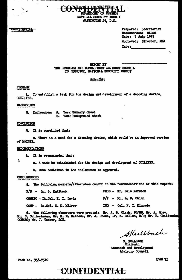

Prepared: Secretariat . Recommended: RADAC Date: 7 July 1955 Approved: Director, NSA  $_{\text{Date}}$ 

REPORT BY THE RESEARCH AND DEVELOPMENT ADVISORY COUNCIL TO DIRECTOR, NATIONAL SECURITY AGENCY

CONFET IDENTIFIERA

**NATIONAL SECURITY AGENCY** WASHINGTON 25, D.C.

#### **GULLIVER**

# **PROBLEM**

**CONFIDENTIAL** 

1. To establish a task for the design and development of a decoding device, **GULLIVER.** 

#### DISCUSSION

2. Inclosures: A. Task Summary Sheet **B.** Task Background Sheet

#### CONCLUSION

3. It is concluded that:

a. There is a need for a decoding device, which would be an improved version of MATSIR.

#### **RECOMMENDATIONS**

4. It is recommended that:

 $\frac{1}{\mu}$ 

a. A task be established for the design and development of GULLIVER.

b. Data contained in the inclosures be approved.

## **CONCURRENCES**

5. The following members/alternates concur in the recommendations of this report:

| $R/D = Dr$ . S. Kullback            | PROD - Mr. Dale Marston  |
|-------------------------------------|--------------------------|
| <b>COMSEC - Lt.Col. K. I. Davis</b> | $P/P$ = Mr. L. E. Shinn  |
| COMP - Lt.Col. C. K. Milroy         | LOG - Col. N. T. Kincade |

6. The following observers were present: Mr. A. B. Clark, DD/RD, Mr. A. Rose, Mr. C. Schierlmann, Mr. M. M. Mathews, Mr. J. Crone, Dr. E. Callen, R/D; Mr. T. Chittenden COMSEC; Mr. J. Tasker, LOG.

Skullback

**S. KULLBACK**<br>Chairman Research and Development Advisory Council

Task No. 353-7510

**B/AB 73** 

# CONFIDENTIAL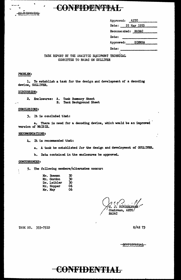

# CONFIDENSTEA

| Approved: AETC |                    |
|----------------|--------------------|
|                | Date: 25 May 1955  |
|                | Recommended: RADAC |
| <b>Date:</b>   |                    |
|                | Approved: DIRNSA   |
| Dat.e:         |                    |

TASK REPORT BY THE ANALYTIC EQUIPMENT TECHNICAL COMMITTEE TO RADAC ON GULLIVER

## PROBLEM:

1. To establish a task for the design and development of a decoding device, GULLIVER.

# DISCUSSION:

2. Enclosures: A. **Task Summary Sheet B. Task Background Sheet** 

#### CONCLUSIONS:

3. It is concluded that:

There is need for a decoding device, which would be an improved a. version of MAISIE.

#### RECOMMENDATIONS:

4. It is recommended that:

a. A task be established for the design and development of GUILIVER.

b. Data contained in the enclosures be approved.

#### **CONCURRENCES:**

5. The following members/alternates concur:

| Mr. Bowman         | 30 |
|--------------------|----|
| <b>Mr. Gordon</b>  | 30 |
| <b>Dr. Leibler</b> | 30 |
| Mr. Hopper         | 06 |
| Mr. May            | 06 |
|                    |    |

J. SCHTERIMAMI Chairman. AETC/ **RADAC** 

TASK NO. 353-7510

R/AE 73

<del>ochfideneiai</del>

# CONFIDENTIAL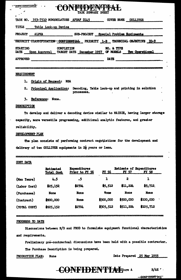| yun iddilihi<br>1 LETT DE PASSED<br>-<br><b>TASK SUMMARY SHEET</b>                                                                        |  |  |  |  |  |  |
|-------------------------------------------------------------------------------------------------------------------------------------------|--|--|--|--|--|--|
| TASK NO. 353-7510 NOMENCLATURE AFSAF D145<br>COVER NAME GULLIVER                                                                          |  |  |  |  |  |  |
| TITLE<br>Table Look-up Device                                                                                                             |  |  |  |  |  |  |
| SUB-PROJECT Special Problem Equipments<br><b>PROJECT</b><br>ALPHA                                                                         |  |  |  |  |  |  |
| PRIORITY 1-B TECHNICAL OBJECTIVE IO-9<br><b>CONFIDENTIAL</b><br>SECURITY CLASSIFICATION                                                   |  |  |  |  |  |  |
| <b>STARTING</b><br><b>COMPLETION</b><br>NO. & TYPE<br>OF MODELS Two Operational<br><b>DATE</b><br>Upon Approval TARGET DATE December 1957 |  |  |  |  |  |  |
| <b>APPROVED</b><br><b>DATE</b>                                                                                                            |  |  |  |  |  |  |
|                                                                                                                                           |  |  |  |  |  |  |

#### **REQUIREMENT**

- 1. Origin of Request: NSA
- 2. Principal Application: Decoding, Table Look-up and printing in solution processes.
- 3. Reference: None.

# DESCRIPTION

To develop and deliver a decoding device similar to MAISIE, having larger storage capacity, more versatile programming, additional analytic features, and greater reliability.

# DEVELOPMENT PLAN

The plan consists of performing contract negotiations for the development and delivery of two GULLIVER equipments in 22 years or less.

| COST DATA    |                                       |                                       |                    |                                          |              |  |
|--------------|---------------------------------------|---------------------------------------|--------------------|------------------------------------------|--------------|--|
|              | <b>Estimated</b><br><b>Total Cost</b> | <b>Expenditures</b><br>Prior to FI 56 | <b>FY 56</b><br>-1 | Estimate of Expenditures<br><b>FY 57</b> | <u>FY 58</u> |  |
| (Man Years)  | 4.5                                   | .5                                    |                    | 2                                        | 1            |  |
| (Labor Cost) | \$25,152                              | \$2704                                | \$5,512            | \$11,224                                 | \$5,712.     |  |
| (Purchases)  | None                                  | <b>None</b>                           | <b>None</b>        | <b>None</b>                              | <b>None</b>  |  |
| (Contract)   | \$900,000                             | <b>None</b>                           | \$300,000          | \$500,000                                | \$100,000    |  |
| (TOTAL COST) | \$925,152                             | \$2704                                | \$305,512          | \$511,224                                | \$105,712    |  |

### PROGRESS TO DATE

Discussions between R/D and PROD to formulate equipment functional characteristics and requirements.

Preliminary pre-contractual discussions have been held with a possible contractor. The Purchase Description is being prepared.

PRODUCTION PLAN: None Date Prepared 25 May 1955

-CONFIDENTIA Coure A

 $R/AE$ 

**CONFIDENT INLT**